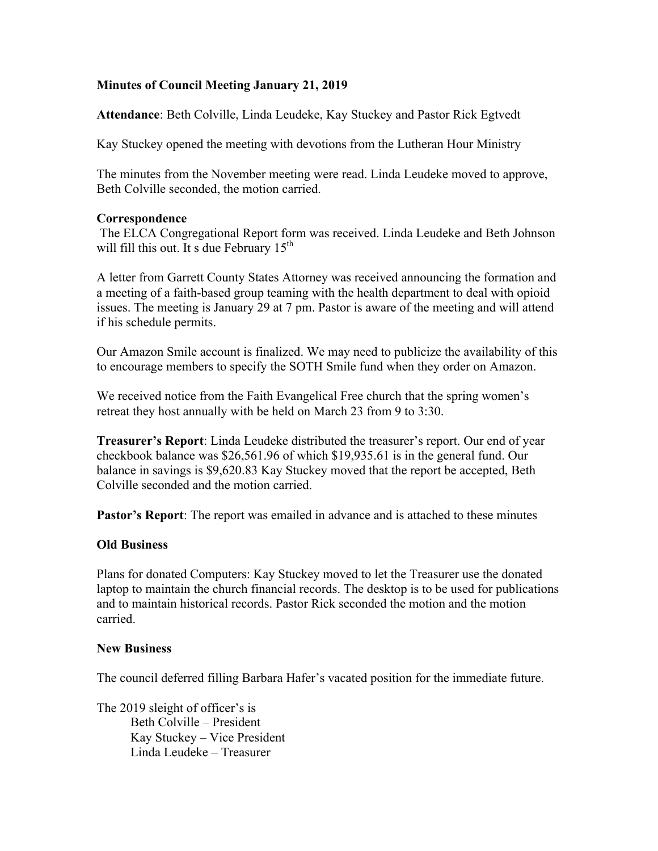## **Minutes of Council Meeting January 21, 2019**

**Attendance**: Beth Colville, Linda Leudeke, Kay Stuckey and Pastor Rick Egtvedt

Kay Stuckey opened the meeting with devotions from the Lutheran Hour Ministry

The minutes from the November meeting were read. Linda Leudeke moved to approve, Beth Colville seconded, the motion carried.

## **Correspondence**

The ELCA Congregational Report form was received. Linda Leudeke and Beth Johnson will fill this out. It s due February  $15<sup>th</sup>$ 

A letter from Garrett County States Attorney was received announcing the formation and a meeting of a faith-based group teaming with the health department to deal with opioid issues. The meeting is January 29 at 7 pm. Pastor is aware of the meeting and will attend if his schedule permits.

Our Amazon Smile account is finalized. We may need to publicize the availability of this to encourage members to specify the SOTH Smile fund when they order on Amazon.

We received notice from the Faith Evangelical Free church that the spring women's retreat they host annually with be held on March 23 from 9 to 3:30.

**Treasurer's Report**: Linda Leudeke distributed the treasurer's report. Our end of year checkbook balance was \$26,561.96 of which \$19,935.61 is in the general fund. Our balance in savings is \$9,620.83 Kay Stuckey moved that the report be accepted, Beth Colville seconded and the motion carried.

**Pastor's Report**: The report was emailed in advance and is attached to these minutes

## **Old Business**

Plans for donated Computers: Kay Stuckey moved to let the Treasurer use the donated laptop to maintain the church financial records. The desktop is to be used for publications and to maintain historical records. Pastor Rick seconded the motion and the motion carried.

## **New Business**

The council deferred filling Barbara Hafer's vacated position for the immediate future.

The 2019 sleight of officer's is Beth Colville – President Kay Stuckey – Vice President Linda Leudeke – Treasurer